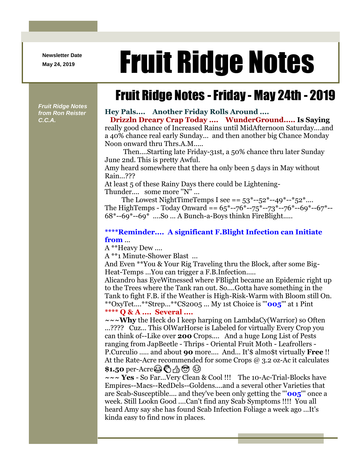**Newsletter Date**

# Newsletter Date **Fruit Ridge Notes**

## Fruit Ridge Notes -Friday - May 24th - 2019

*Fruit Ridge Notes from Ron Reister C.C.A.*

#### **Hey Pals.... Another Friday Rolls Around ....**

**Drizzln Dreary Crap Today .... WunderGround..... Is Saying**  really good chance of Increased Rains until MidAfternoon Saturday....and a 40% chance real early Sunday... and then another big Chance Monday Noon onward thru Thrs.A.M.....

Then....Starting late Friday-31st, a 50% chance thru later Sunday June 2nd. This is pretty Awful.

Amy heard somewhere that there ha only been 5 days in May without Rain...???

At least 5 of these Rainy Days there could be Lightening-Thunder.... some more ''N'' ...

The Lowest NightTimeTemps I see ==  $53^*$ -- $52^*$ --49<sup>\*</sup>--<sup>\*</sup> $52^*...$ The HighTemps - Today Onward ==  $65^{\ast}$ --76<sup>\*</sup>--75<sup>\*</sup>--73<sup>\*</sup>--76<sup>\*</sup>--69<sup>\*</sup>--67<sup>\*</sup>--68\*--69\*--69\* ....So ... A Bunch-a-Boys thinkn FireBlight.....

#### **\*\*\*\*Reminder.... A significant F.Blight Infection can Initiate from** ...

A \*\*Heavy Dew ....

A \*\*1 Minute-Shower Blast ...

And Even \*\*You & Your Rig Traveling thru the Block, after some Big-Heat-Temps ...You can trigger a F.B.Infection.....

Alicandro has EyeWitnessed where FBlight became an Epidemic right up to the Trees where the Tank ran out. So....Gotta have something in the Tank to fight F.B. if the Weather is High-Risk-Warm with Bloom still On. \*\*OxyTet....\*\*Strep...\*\*CS2005 ... My 1st Choice is '''**005**''' at 1 Pint **\*\*\*\* Q & A .... Several ....**

**~~~Why** the Heck do I keep harping on LambdaCy(Warrior) so Often ...???? Cuz... This OlWarHorse is Labeled for virtually Every Crop you can think of--Like over **200** Crops.... And a huge Long List of Pests ranging from JapBeetle - Thrips - Oriental Fruit Moth - Leafrollers - P.Curculio ..... and about **90** more.... And... It'\$ almo\$t virtually **Free** !! At the Rate-Acre recommended for some Crops @ 3.2 oz-Ac it calculates \$1.50 per-Acre **③ <br />
<b>Acre** © / $\uparrow$  © ©

**~~~ Yes** - So Far...Very Clean & Cool !!! The 10-Ac-Trial-Blocks have Empires--Macs--RedDels--Goldens....and a several other Varieties that are Scab-Susceptible.... and they've been only getting the '''**005**''' once a week. Still Lookn Good ....Can't find any Scab Symptoms !!!! You all heard Amy say she has found Scab Infection Foliage a week ago ...It's kinda easy to find now in places.